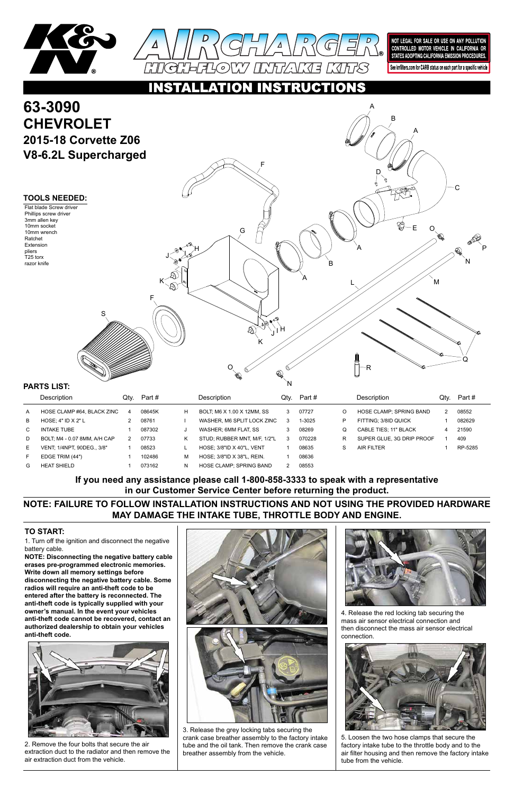



NOT LEGAL FOR SALE OR USE ON ANY POLLUTION CONTROLLED MOTOR VEHICLE IN CALIFORNIA OR STATES ADOPTING CALIFORNIA EMISSION PROCEDURES.

See knfilters.com for CARB status on each part for a specific vehicle

#### **INSTRUCTIONS** O

1. Turn off the ignition and disconnect the negative battery cable.

# **63-3090 CHEVROLET 2015-18 Corvette Z06 V8-6.2L Supercharged**

**NOTE: Disconnecting the negative battery cable erases pre-programmed electronic memories. Write down all memory settings before disconnecting the negative battery cable. Some radios will require an anti-theft code to be entered after the battery is reconnected. The anti-theft code is typically supplied with your owner's manual. In the event your vehicles anti-theft code cannot be recovered, contact an authorized dealership to obtain your vehicles anti-theft code.**







## **TO START:**

|    | Description                  | Qtv. | Part#  |   | Description                      | Qtv. | Part # |   | <b>Description</b>             | Qtv. | Part#   |
|----|------------------------------|------|--------|---|----------------------------------|------|--------|---|--------------------------------|------|---------|
| A  | HOSE CLAMP #64, BLACK ZINC   | 4    | 08645K | н | BOLT. M6 X 1.00 X 12MM. SS       | 3    | 07727  | O | <b>HOSE CLAMP: SPRING BAND</b> |      | 08552   |
| B  | HOSE: $4"$ ID $X$ $2"$ L     |      | 08761  |   | WASHER, M6 SPLIT LOCK ZINC       | 3    | 1-3025 | P | FITTING: 3/8ID QUICK           |      | 082629  |
| C. | INTAKE TUBE                  |      | 087302 | J | WASHER, 6MM FLAT, SS             |      | 08269  | Q | <b>CABLE TIES: 11" BLACK</b>   |      | 21590   |
| D  | BOLT, M4 - 0.07 8MM, A/H CAP |      | 07733  | Κ | STUD; RUBBER MNT, M/F, 1/2"L     | 3    | 070228 | R | SUPER GLUE, 3G DRIP PROOF      |      | 409     |
| Е. | VENT: 1/4NPT. 90DEG 3/8"     |      | 08523  |   | <b>HOSE: 3/8"ID X 40"L. VENT</b> |      | 08635  | S | AIR FILTER                     |      | RP-5285 |
|    | EDGE TRIM (44")              |      | 102486 | M | HOSE: 3/8"ID X 38"L. REIN.       |      | 08636  |   |                                |      |         |
| G  | <b>HEAT SHIELD</b>           |      | 073162 | N | <b>HOSE CLAMP: SPRING BAND</b>   |      | 08553  |   |                                |      |         |

**TOOLS NEEDED:** Flat blade Screw driver Phillips screw driver 3mm allen key 10mm socket 10mm wrench Ratchet Extension pliers T25 torx razor knife

2. Remove the four bolts that secure the air extraction duct to the radiator and then remove the air extraction duct from the vehicle.

3. Release the grey locking tabs securing the crank case breather assembly to the factory intake tube and the oil tank. Then remove the crank case breather assembly from the vehicle.



4. Release the red locking tab securing the mass air sensor electrical connection and then disconnect the mass air sensor electrical connection.



5. Loosen the two hose clamps that secure the factory intake tube to the throttle body and to the air filter housing and then remove the factory intake tube from the vehicle.

## **NOTE: FAILURE TO FOLLOW INSTALLATION INSTRUCTIONS AND NOT USING THE PROVIDED HARDWARE MAY DAMAGE THE INTAKE TUBE, THROTTLE BODY AND ENGINE.**

## **If you need any assistance please call 1-800-858-3333 to speak with a representative in our Customer Service Center before returning the product.**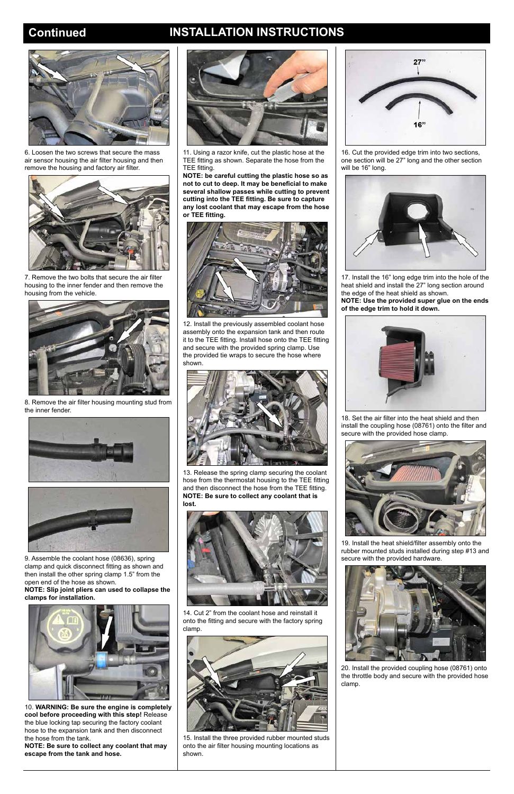# **Continued INSTALLATION INSTRUCTIONS**



6. Loosen the two screws that secure the mass air sensor housing the air filter housing and then remove the housing and factory air filter.



7. Remove the two bolts that secure the air filter housing to the inner fender and then remove the housing from the vehicle.



8. Remove the air filter housing mounting stud from the inner fender.





9. Assemble the coolant hose (08636), spring clamp and quick disconnect fitting as shown and then install the other spring clamp 1.5" from the open end of the hose as shown.



**NOTE: Slip joint pliers can used to collapse the clamps for installation.**



10. **WARNING: Be sure the engine is completely cool before proceeding with this step!** Release the blue locking tap securing the factory coolant hose to the expansion tank and then disconnect the hose from the tank.

**NOTE: Be sure to collect any coolant that may escape from the tank and hose.**

11. Using a razor knife, cut the plastic hose at the TEE fitting as shown. Separate the hose from the TEE fitting.

**NOTE: be careful cutting the plastic hose so as not to cut to deep. It may be beneficial to make several shallow passes while cutting to prevent cutting into the TEE fitting. Be sure to capture any lost coolant that may escape from the hose or TEE fitting.**



12. Install the previously assembled coolant hose assembly onto the expansion tank and then route it to the TEE fitting. Install hose onto the TEE fitting and secure with the provided spring clamp. Use the provided tie wraps to secure the hose where shown.



13. Release the spring clamp securing the coolant hose from the thermostat housing to the TEE fitting and then disconnect the hose from the TEE fitting. **NOTE: Be sure to collect any coolant that is lost.**



14. Cut 2" from the coolant hose and reinstall it onto the fitting and secure with the factory spring clamp.



15. Install the three provided rubber mounted studs onto the air filter housing mounting locations as shown.



16. Cut the provided edge trim into two sections, one section will be 27" long and the other section will be 16" long.



17. Install the 16" long edge trim into the hole of the heat shield and install the 27" long section around the edge of the heat shield as shown.

**NOTE: Use the provided super glue on the ends of the edge trim to hold it down.**



18. Set the air filter into the heat shield and then install the coupling hose (08761) onto the filter and secure with the provided hose clamp.



19. Install the heat shield/filter assembly onto the rubber mounted studs installed during step #13 and secure with the provided hardware.



20. Install the provided coupling hose (08761) onto the throttle body and secure with the provided hose clamp.